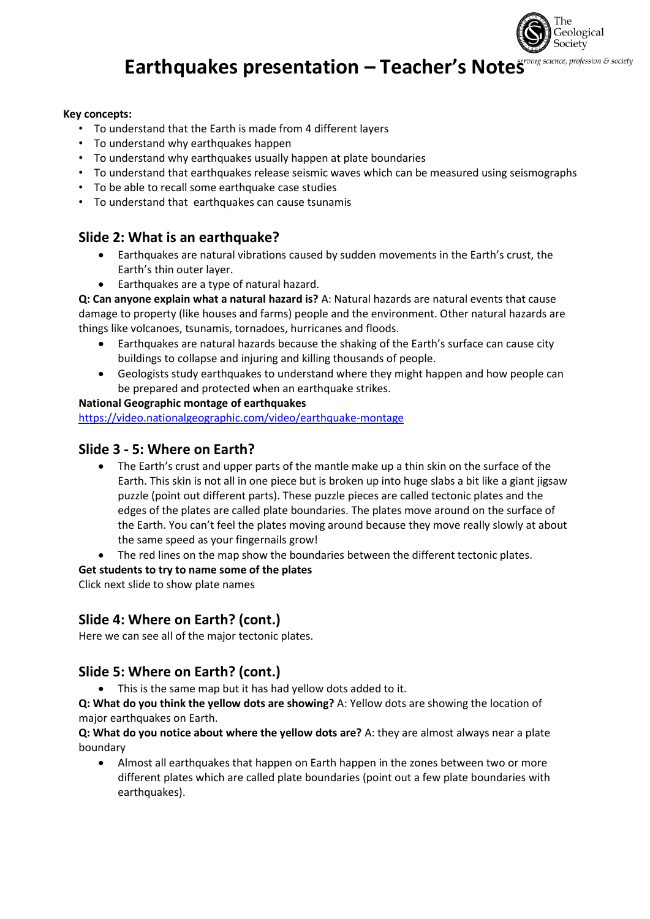

# **Earthquakes presentation – Teacher's Notes**

#### **Key concepts:**

- To understand that the Earth is made from 4 different layers
- To understand why earthquakes happen
- To understand why earthquakes usually happen at plate boundaries
- To understand that earthquakes release seismic waves which can be measured using seismographs
- To be able to recall some earthquake case studies
- To understand that earthquakes can cause tsunamis

# **Slide 2: What is an earthquake?**

- Earthquakes are natural vibrations caused by sudden movements in the Earth's crust, the Earth's thin outer layer.
- Earthquakes are a type of natural hazard.

**Q: Can anyone explain what a natural hazard is?** A: Natural hazards are natural events that cause damage to property (like houses and farms) people and the environment. Other natural hazards are things like volcanoes, tsunamis, tornadoes, hurricanes and floods.

- Earthquakes are natural hazards because the shaking of the Earth's surface can cause city buildings to collapse and injuring and killing thousands of people.
- Geologists study earthquakes to understand where they might happen and how people can be prepared and protected when an earthquake strikes.

#### **National Geographic montage of earthquakes**

<https://video.nationalgeographic.com/video/earthquake-montage>

# **Slide 3 - 5: Where on Earth?**

- The Earth's crust and upper parts of the mantle make up a thin skin on the surface of the Earth. This skin is not all in one piece but is broken up into huge slabs a bit like a giant jigsaw puzzle (point out different parts). These puzzle pieces are called tectonic plates and the edges of the plates are called plate boundaries. The plates move around on the surface of the Earth. You can't feel the plates moving around because they move really slowly at about the same speed as your fingernails grow!
- The red lines on the map show the boundaries between the different tectonic plates.

#### **Get students to try to name some of the plates**

Click next slide to show plate names

# **Slide 4: Where on Earth? (cont.)**

Here we can see all of the major tectonic plates.

# **Slide 5: Where on Earth? (cont.)**

• This is the same map but it has had yellow dots added to it.

**Q: What do you think the yellow dots are showing?** A: Yellow dots are showing the location of major earthquakes on Earth.

**Q: What do you notice about where the yellow dots are?** A: they are almost always near a plate boundary

• Almost all earthquakes that happen on Earth happen in the zones between two or more different plates which are called plate boundaries (point out a few plate boundaries with earthquakes).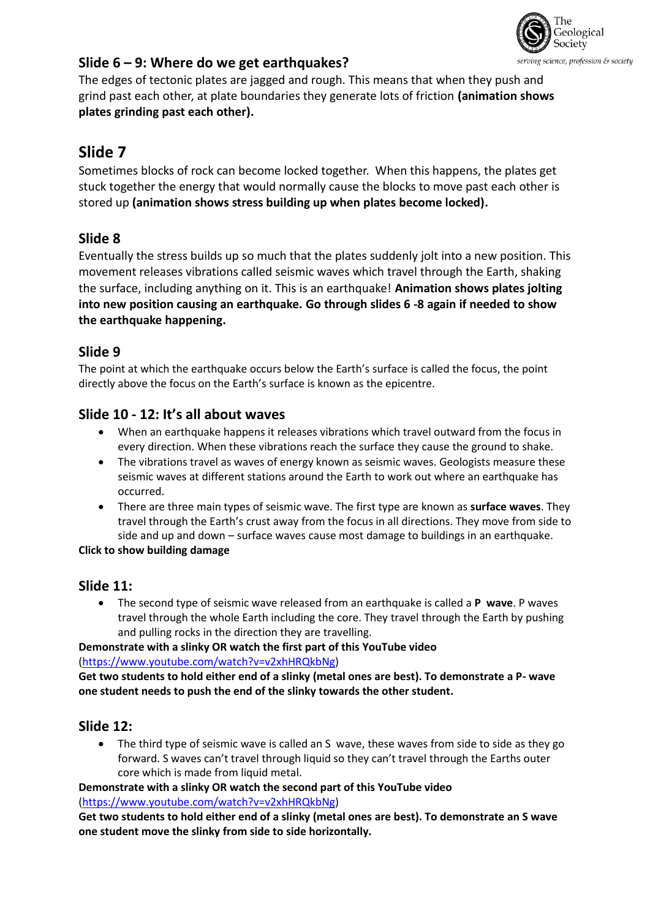

# **Slide 6 – 9: Where do we get earthquakes?**

The edges of tectonic plates are jagged and rough. This means that when they push and grind past each other, at plate boundaries they generate lots of friction **(animation shows plates grinding past each other).**

# **Slide 7**

Sometimes blocks of rock can become locked together. When this happens, the plates get stuck together the energy that would normally cause the blocks to move past each other is stored up **(animation shows stress building up when plates become locked).**

# **Slide 8**

Eventually the stress builds up so much that the plates suddenly jolt into a new position. This movement releases vibrations called seismic waves which travel through the Earth, shaking the surface, including anything on it. This is an earthquake! **Animation shows plates jolting into new position causing an earthquake. Go through slides 6 -8 again if needed to show the earthquake happening.**

# **Slide 9**

The point at which the earthquake occurs below the Earth's surface is called the focus, the point directly above the focus on the Earth's surface is known as the epicentre.

# **Slide 10 - 12: It's all about waves**

- When an earthquake happens it releases vibrations which travel outward from the focus in every direction. When these vibrations reach the surface they cause the ground to shake.
- The vibrations travel as waves of energy known as seismic waves. Geologists measure these seismic waves at different stations around the Earth to work out where an earthquake has occurred.
- There are three main types of seismic wave. The first type are known as **surface waves**. They travel through the Earth's crust away from the focus in all directions. They move from side to side and up and down – surface waves cause most damage to buildings in an earthquake.

#### **Click to show building damage**

# **Slide 11:**

• The second type of seismic wave released from an earthquake is called a **P wave**. P waves travel through the whole Earth including the core. They travel through the Earth by pushing and pulling rocks in the direction they are travelling.

**Demonstrate with a slinky OR watch the first part of this YouTube video**  [\(https://www.youtube.com/watch?v=v2xhHRQkbNg\)](https://www.youtube.com/watch?v=v2xhHRQkbNg)

**Get two students to hold either end of a slinky (metal ones are best). To demonstrate a P- wave one student needs to push the end of the slinky towards the other student.**

# **Slide 12:**

• The third type of seismic wave is called an S wave, these waves from side to side as they go forward. S waves can't travel through liquid so they can't travel through the Earths outer core which is made from liquid metal.

**Demonstrate with a slinky OR watch the second part of this YouTube video** [\(https://www.youtube.com/watch?v=v2xhHRQkbNg\)](https://www.youtube.com/watch?v=v2xhHRQkbNg)

**Get two students to hold either end of a slinky (metal ones are best). To demonstrate an S wave one student move the slinky from side to side horizontally.**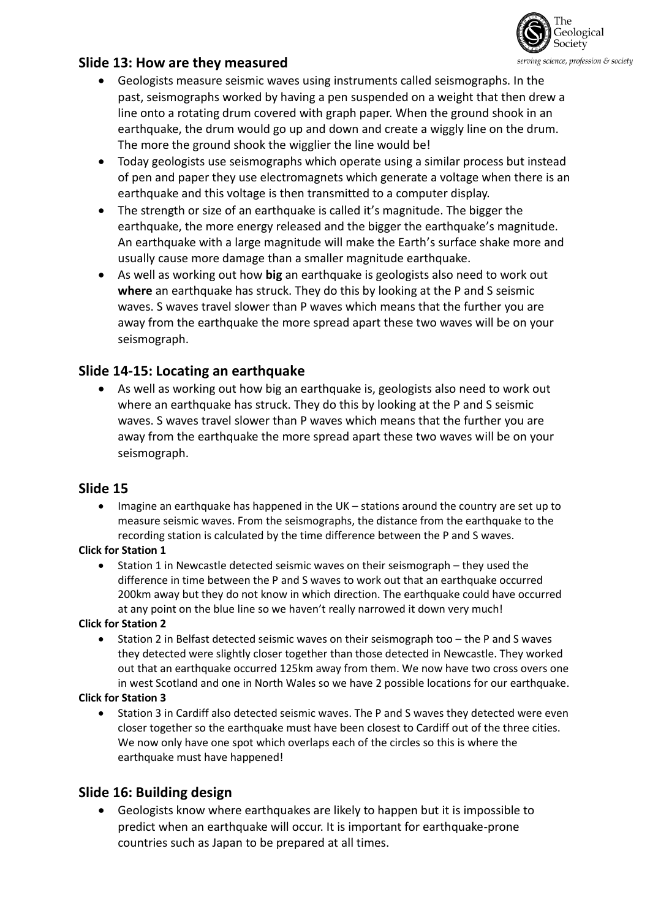

# **Slide 13: How are they measured**

- Geologists measure seismic waves using instruments called seismographs. In the past, seismographs worked by having a pen suspended on a weight that then drew a line onto a rotating drum covered with graph paper. When the ground shook in an earthquake, the drum would go up and down and create a wiggly line on the drum. The more the ground shook the wigglier the line would be!
- Today geologists use seismographs which operate using a similar process but instead of pen and paper they use electromagnets which generate a voltage when there is an earthquake and this voltage is then transmitted to a computer display.
- The strength or size of an earthquake is called it's magnitude. The bigger the earthquake, the more energy released and the bigger the earthquake's magnitude. An earthquake with a large magnitude will make the Earth's surface shake more and usually cause more damage than a smaller magnitude earthquake.
- As well as working out how **big** an earthquake is geologists also need to work out **where** an earthquake has struck. They do this by looking at the P and S seismic waves. S waves travel slower than P waves which means that the further you are away from the earthquake the more spread apart these two waves will be on your seismograph.

# **Slide 14-15: Locating an earthquake**

• As well as working out how big an earthquake is, geologists also need to work out where an earthquake has struck. They do this by looking at the P and S seismic waves. S waves travel slower than P waves which means that the further you are away from the earthquake the more spread apart these two waves will be on your seismograph.

# **Slide 15**

• Imagine an earthquake has happened in the UK – stations around the country are set up to measure seismic waves. From the seismographs, the distance from the earthquake to the recording station is calculated by the time difference between the P and S waves.

#### **Click for Station 1**

• Station 1 in Newcastle detected seismic waves on their seismograph – they used the difference in time between the P and S waves to work out that an earthquake occurred 200km away but they do not know in which direction. The earthquake could have occurred at any point on the blue line so we haven't really narrowed it down very much!

#### **Click for Station 2**

• Station 2 in Belfast detected seismic waves on their seismograph too – the P and S waves they detected were slightly closer together than those detected in Newcastle. They worked out that an earthquake occurred 125km away from them. We now have two cross overs one in west Scotland and one in North Wales so we have 2 possible locations for our earthquake.

#### **Click for Station 3**

• Station 3 in Cardiff also detected seismic waves. The P and S waves they detected were even closer together so the earthquake must have been closest to Cardiff out of the three cities. We now only have one spot which overlaps each of the circles so this is where the earthquake must have happened!

# **Slide 16: Building design**

• Geologists know where earthquakes are likely to happen but it is impossible to predict when an earthquake will occur. It is important for earthquake-prone countries such as Japan to be prepared at all times.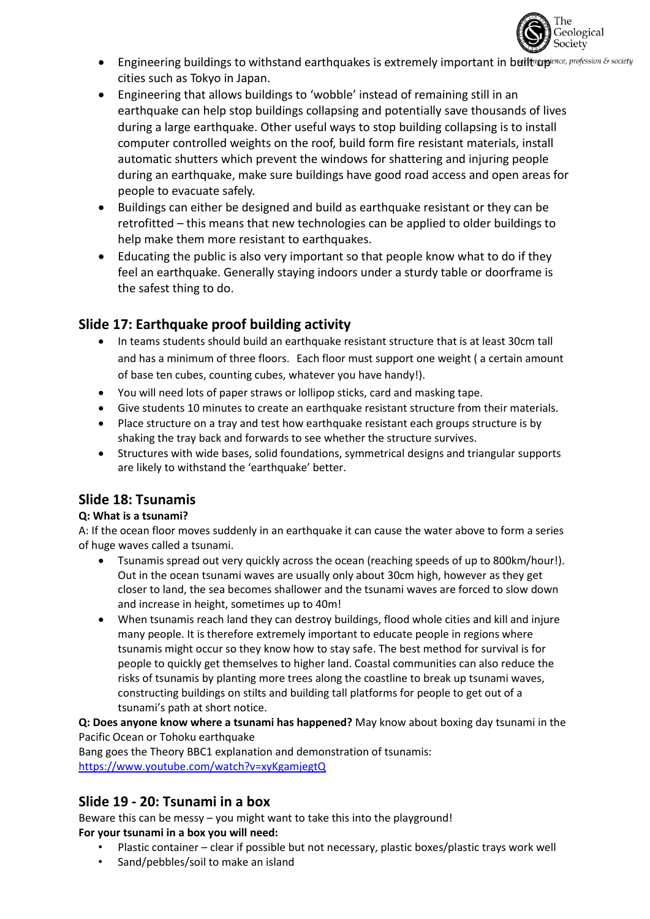

- Engineering buildings to withstand earthquakes is extremely important in builting profession & society cities such as Tokyo in Japan.
- Engineering that allows buildings to 'wobble' instead of remaining still in an earthquake can help stop buildings collapsing and potentially save thousands of lives during a large earthquake. Other useful ways to stop building collapsing is to install computer controlled weights on the roof, build form fire resistant materials, install automatic shutters which prevent the windows for shattering and injuring people during an earthquake, make sure buildings have good road access and open areas for people to evacuate safely.
- Buildings can either be designed and build as earthquake resistant or they can be retrofitted – this means that new technologies can be applied to older buildings to help make them more resistant to earthquakes.
- Educating the public is also very important so that people know what to do if they feel an earthquake. Generally staying indoors under a sturdy table or doorframe is the safest thing to do.

# **Slide 17: Earthquake proof building activity**

- In teams students should build an earthquake resistant structure that is at least 30cm tall and has a minimum of three floors. Each floor must support one weight ( a certain amount of base ten cubes, counting cubes, whatever you have handy!).
- You will need lots of paper straws or lollipop sticks, card and masking tape.
- Give students 10 minutes to create an earthquake resistant structure from their materials.
- Place structure on a tray and test how earthquake resistant each groups structure is by shaking the tray back and forwards to see whether the structure survives.
- Structures with wide bases, solid foundations, symmetrical designs and triangular supports are likely to withstand the 'earthquake' better.

# **Slide 18: Tsunamis**

#### **Q: What is a tsunami?**

A: If the ocean floor moves suddenly in an earthquake it can cause the water above to form a series of huge waves called a tsunami.

- Tsunamis spread out very quickly across the ocean (reaching speeds of up to 800km/hour!). Out in the ocean tsunami waves are usually only about 30cm high, however as they get closer to land, the sea becomes shallower and the tsunami waves are forced to slow down and increase in height, sometimes up to 40m!
- When tsunamis reach land they can destroy buildings, flood whole cities and kill and injure many people. It is therefore extremely important to educate people in regions where tsunamis might occur so they know how to stay safe. The best method for survival is for people to quickly get themselves to higher land. Coastal communities can also reduce the risks of tsunamis by planting more trees along the coastline to break up tsunami waves, constructing buildings on stilts and building tall platforms for people to get out of a tsunami's path at short notice.

**Q: Does anyone know where a tsunami has happened?** May know about boxing day tsunami in the Pacific Ocean or Tohoku earthquake

Bang goes the Theory BBC1 explanation and demonstration of tsunamis: <https://www.youtube.com/watch?v=xyKgamjegtQ>

# **Slide 19 - 20: Tsunami in a box**

Beware this can be messy – you might want to take this into the playground! **For your tsunami in a box you will need:**

- Plastic container clear if possible but not necessary, plastic boxes/plastic trays work well
- Sand/pebbles/soil to make an island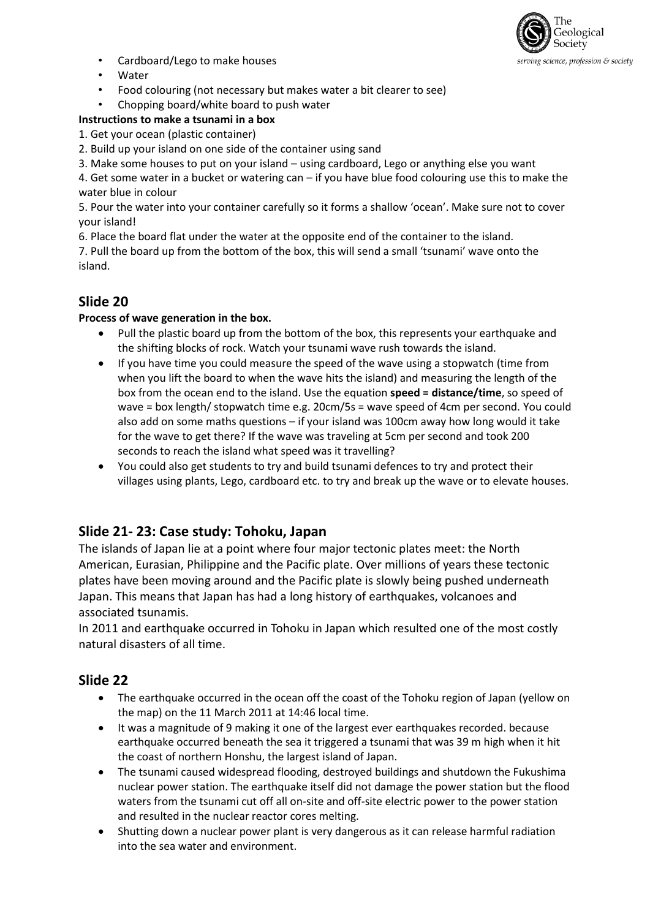

- Cardboard/Lego to make houses
- Water
- Food colouring (not necessary but makes water a bit clearer to see)
- Chopping board/white board to push water

#### **Instructions to make a tsunami in a box**

1. Get your ocean (plastic container)

- 2. Build up your island on one side of the container using sand
- 3. Make some houses to put on your island using cardboard, Lego or anything else you want

4. Get some water in a bucket or watering can – if you have blue food colouring use this to make the water blue in colour

5. Pour the water into your container carefully so it forms a shallow 'ocean'. Make sure not to cover your island!

6. Place the board flat under the water at the opposite end of the container to the island.

7. Pull the board up from the bottom of the box, this will send a small 'tsunami' wave onto the island.

# **Slide 20**

#### **Process of wave generation in the box.**

- Pull the plastic board up from the bottom of the box, this represents your earthquake and the shifting blocks of rock. Watch your tsunami wave rush towards the island.
- If you have time you could measure the speed of the wave using a stopwatch (time from when you lift the board to when the wave hits the island) and measuring the length of the box from the ocean end to the island. Use the equation **speed = distance/time**, so speed of wave = box length/ stopwatch time e.g. 20cm/5s = wave speed of 4cm per second. You could also add on some maths questions – if your island was 100cm away how long would it take for the wave to get there? If the wave was traveling at 5cm per second and took 200 seconds to reach the island what speed was it travelling?
- You could also get students to try and build tsunami defences to try and protect their villages using plants, Lego, cardboard etc. to try and break up the wave or to elevate houses.

#### **Slide 21- 23: Case study: Tohoku, Japan**

The islands of Japan lie at a point where four major tectonic plates meet: the North American, Eurasian, Philippine and the Pacific plate. Over millions of years these tectonic plates have been moving around and the Pacific plate is slowly being pushed underneath Japan. This means that Japan has had a long history of earthquakes, volcanoes and associated tsunamis.

In 2011 and earthquake occurred in Tohoku in Japan which resulted one of the most costly natural disasters of all time.

#### **Slide 22**

- The earthquake occurred in the ocean off the coast of the Tohoku region of Japan (yellow on the map) on the 11 March 2011 at 14:46 local time.
- It was a magnitude of 9 making it one of the largest ever earthquakes recorded. because earthquake occurred beneath the sea it triggered a tsunami that was 39 m high when it hit the coast of northern Honshu, the largest island of Japan.
- The tsunami caused widespread flooding, destroyed buildings and shutdown the Fukushima nuclear power station. The earthquake itself did not damage the power station but the flood waters from the tsunami cut off all on-site and off-site electric power to the power station and resulted in the nuclear reactor cores melting.
- Shutting down a nuclear power plant is very dangerous as it can release harmful radiation into the sea water and environment.